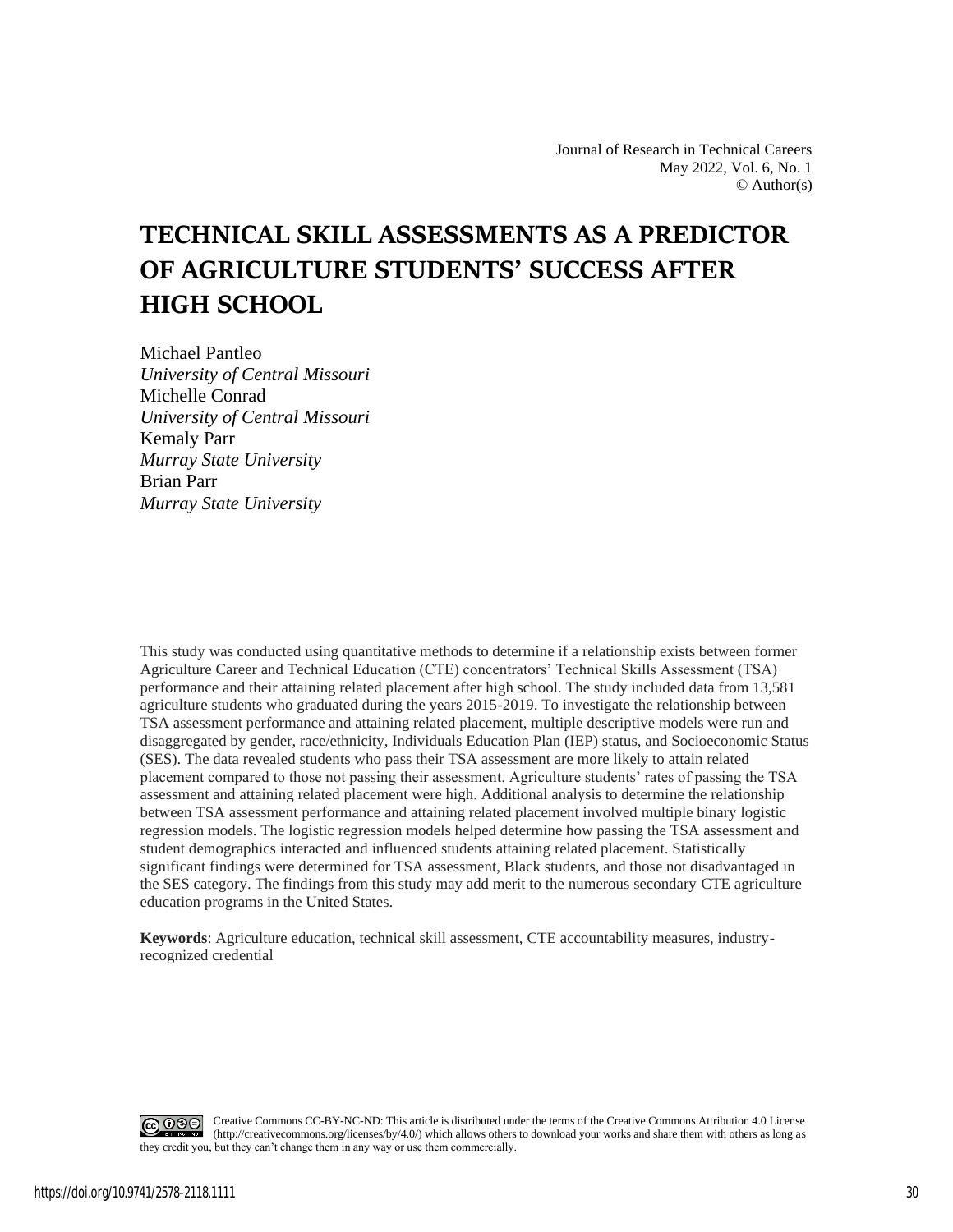Journal of Research in Technical Careers May 2022, Vol. 6, No. 1  $\odot$  Author(s)

# **TECHNICAL SKILL ASSESSMENTS AS A PREDICTOR OF AGRICULTURE STUDENTS' SUCCESS AFTER HIGH SCHOOL**

Michael Pantleo *University of Central Missouri* Michelle Conrad *University of Central Missouri* Kemaly Parr *Murray State University* Brian Parr *Murray State University*

This study was conducted using quantitative methods to determine if a relationship exists between former Agriculture Career and Technical Education (CTE) concentrators' Technical Skills Assessment (TSA) performance and their attaining related placement after high school. The study included data from 13,581 agriculture students who graduated during the years 2015-2019. To investigate the relationship between TSA assessment performance and attaining related placement, multiple descriptive models were run and disaggregated by gender, race/ethnicity, Individuals Education Plan (IEP) status, and Socioeconomic Status (SES). The data revealed students who pass their TSA assessment are more likely to attain related placement compared to those not passing their assessment. Agriculture students' rates of passing the TSA assessment and attaining related placement were high. Additional analysis to determine the relationship between TSA assessment performance and attaining related placement involved multiple binary logistic regression models. The logistic regression models helped determine how passing the TSA assessment and student demographics interacted and influenced students attaining related placement. Statistically significant findings were determined for TSA assessment, Black students, and those not disadvantaged in the SES category. The findings from this study may add merit to the numerous secondary CTE agriculture education programs in the United States.

**Keywords**: Agriculture education, technical skill assessment, CTE accountability measures, industryrecognized credential

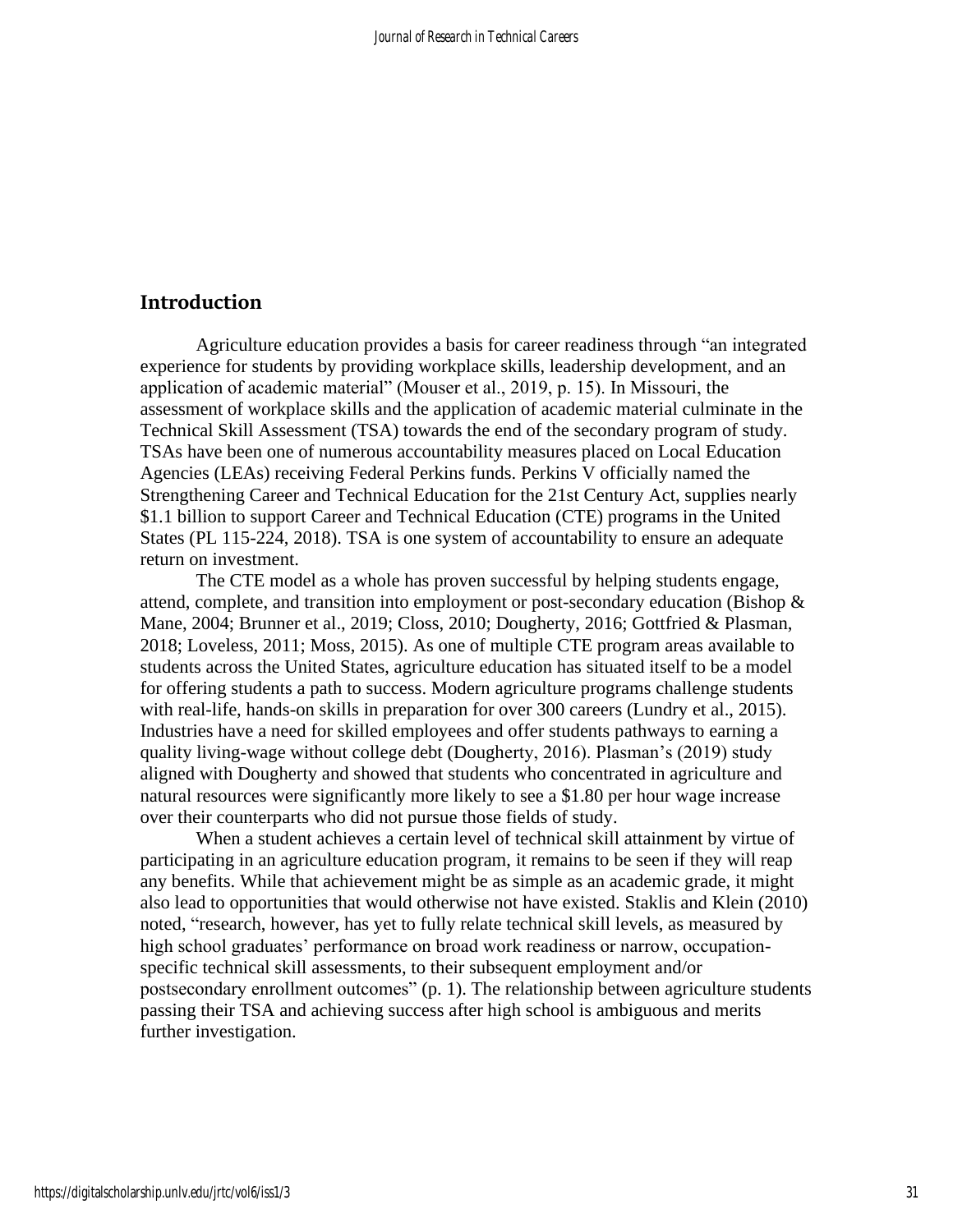# **Introduction**

Agriculture education provides a basis for career readiness through "an integrated experience for students by providing workplace skills, leadership development, and an application of academic material" (Mouser et al., 2019, p. 15). In Missouri, the assessment of workplace skills and the application of academic material culminate in the Technical Skill Assessment (TSA) towards the end of the secondary program of study. TSAs have been one of numerous accountability measures placed on Local Education Agencies (LEAs) receiving Federal Perkins funds. Perkins V officially named the Strengthening Career and Technical Education for the 21st Century Act, supplies nearly \$1.1 billion to support Career and Technical Education (CTE) programs in the United States (PL 115-224, 2018). TSA is one system of accountability to ensure an adequate return on investment.

The CTE model as a whole has proven successful by helping students engage, attend, complete, and transition into employment or post-secondary education (Bishop & Mane, 2004; Brunner et al., 2019; Closs, 2010; Dougherty, 2016; Gottfried & Plasman, 2018; Loveless, 2011; Moss, 2015). As one of multiple CTE program areas available to students across the United States, agriculture education has situated itself to be a model for offering students a path to success. Modern agriculture programs challenge students with real-life, hands-on skills in preparation for over 300 careers (Lundry et al., 2015). Industries have a need for skilled employees and offer students pathways to earning a quality living-wage without college debt (Dougherty, 2016). Plasman's (2019) study aligned with Dougherty and showed that students who concentrated in agriculture and natural resources were significantly more likely to see a \$1.80 per hour wage increase over their counterparts who did not pursue those fields of study.

When a student achieves a certain level of technical skill attainment by virtue of participating in an agriculture education program, it remains to be seen if they will reap any benefits. While that achievement might be as simple as an academic grade, it might also lead to opportunities that would otherwise not have existed. Staklis and Klein (2010) noted, "research, however, has yet to fully relate technical skill levels, as measured by high school graduates' performance on broad work readiness or narrow, occupationspecific technical skill assessments, to their subsequent employment and/or postsecondary enrollment outcomes" (p. 1). The relationship between agriculture students passing their TSA and achieving success after high school is ambiguous and merits further investigation.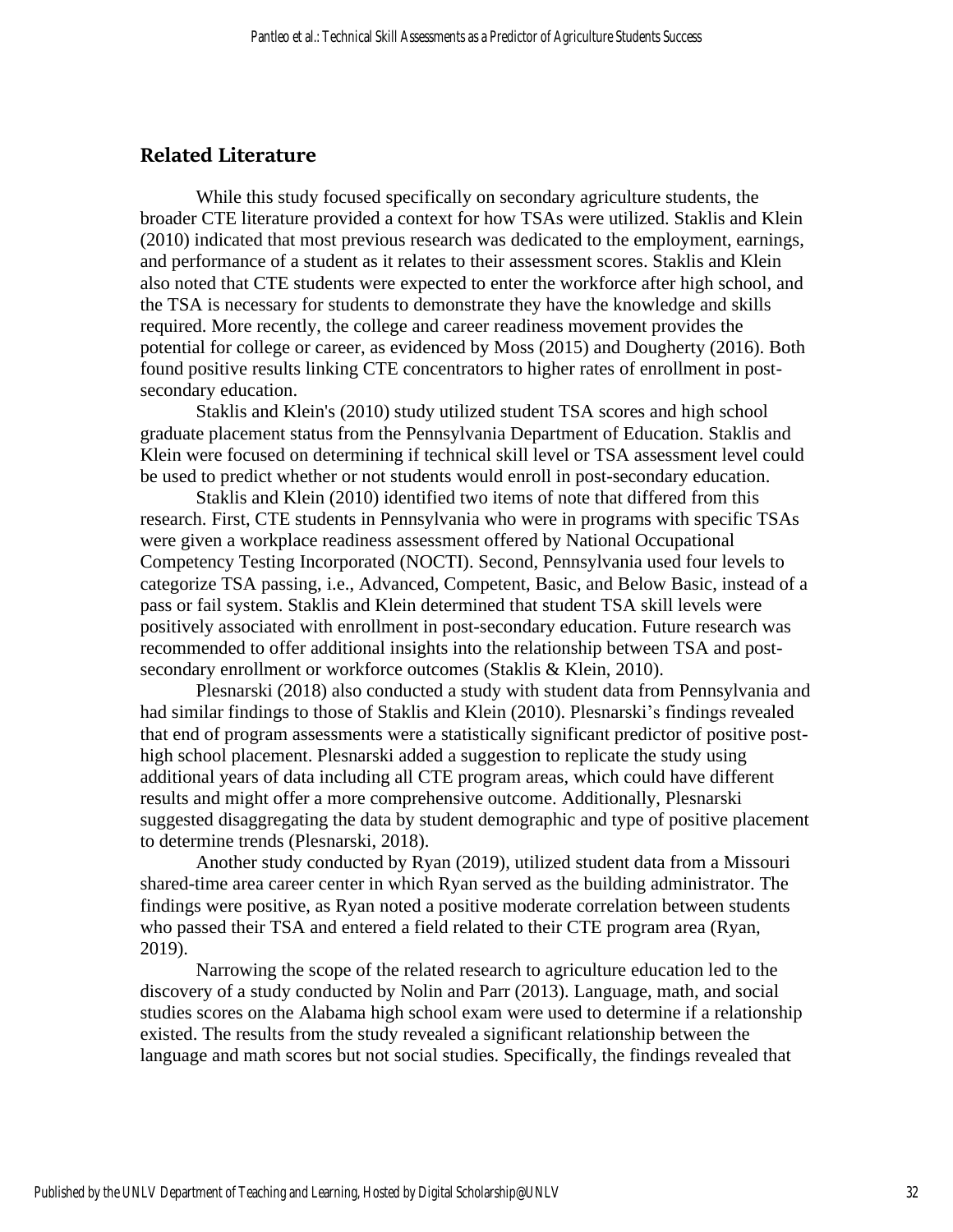## **Related Literature**

While this study focused specifically on secondary agriculture students, the broader CTE literature provided a context for how TSAs were utilized. Staklis and Klein (2010) indicated that most previous research was dedicated to the employment, earnings, and performance of a student as it relates to their assessment scores. Staklis and Klein also noted that CTE students were expected to enter the workforce after high school, and the TSA is necessary for students to demonstrate they have the knowledge and skills required. More recently, the college and career readiness movement provides the potential for college or career, as evidenced by Moss (2015) and Dougherty (2016). Both found positive results linking CTE concentrators to higher rates of enrollment in postsecondary education.

Staklis and Klein's (2010) study utilized student TSA scores and high school graduate placement status from the Pennsylvania Department of Education. Staklis and Klein were focused on determining if technical skill level or TSA assessment level could be used to predict whether or not students would enroll in post-secondary education.

Staklis and Klein (2010) identified two items of note that differed from this research. First, CTE students in Pennsylvania who were in programs with specific TSAs were given a workplace readiness assessment offered by National Occupational Competency Testing Incorporated (NOCTI). Second, Pennsylvania used four levels to categorize TSA passing, i.e., Advanced, Competent, Basic, and Below Basic, instead of a pass or fail system. Staklis and Klein determined that student TSA skill levels were positively associated with enrollment in post-secondary education. Future research was recommended to offer additional insights into the relationship between TSA and postsecondary enrollment or workforce outcomes (Staklis & Klein, 2010).

Plesnarski (2018) also conducted a study with student data from Pennsylvania and had similar findings to those of Staklis and Klein (2010). Plesnarski's findings revealed that end of program assessments were a statistically significant predictor of positive posthigh school placement. Plesnarski added a suggestion to replicate the study using additional years of data including all CTE program areas, which could have different results and might offer a more comprehensive outcome. Additionally, Plesnarski suggested disaggregating the data by student demographic and type of positive placement to determine trends (Plesnarski, 2018).

Another study conducted by Ryan (2019), utilized student data from a Missouri shared-time area career center in which Ryan served as the building administrator. The findings were positive, as Ryan noted a positive moderate correlation between students who passed their TSA and entered a field related to their CTE program area (Ryan, 2019).

Narrowing the scope of the related research to agriculture education led to the discovery of a study conducted by Nolin and Parr (2013). Language, math, and social studies scores on the Alabama high school exam were used to determine if a relationship existed. The results from the study revealed a significant relationship between the language and math scores but not social studies. Specifically, the findings revealed that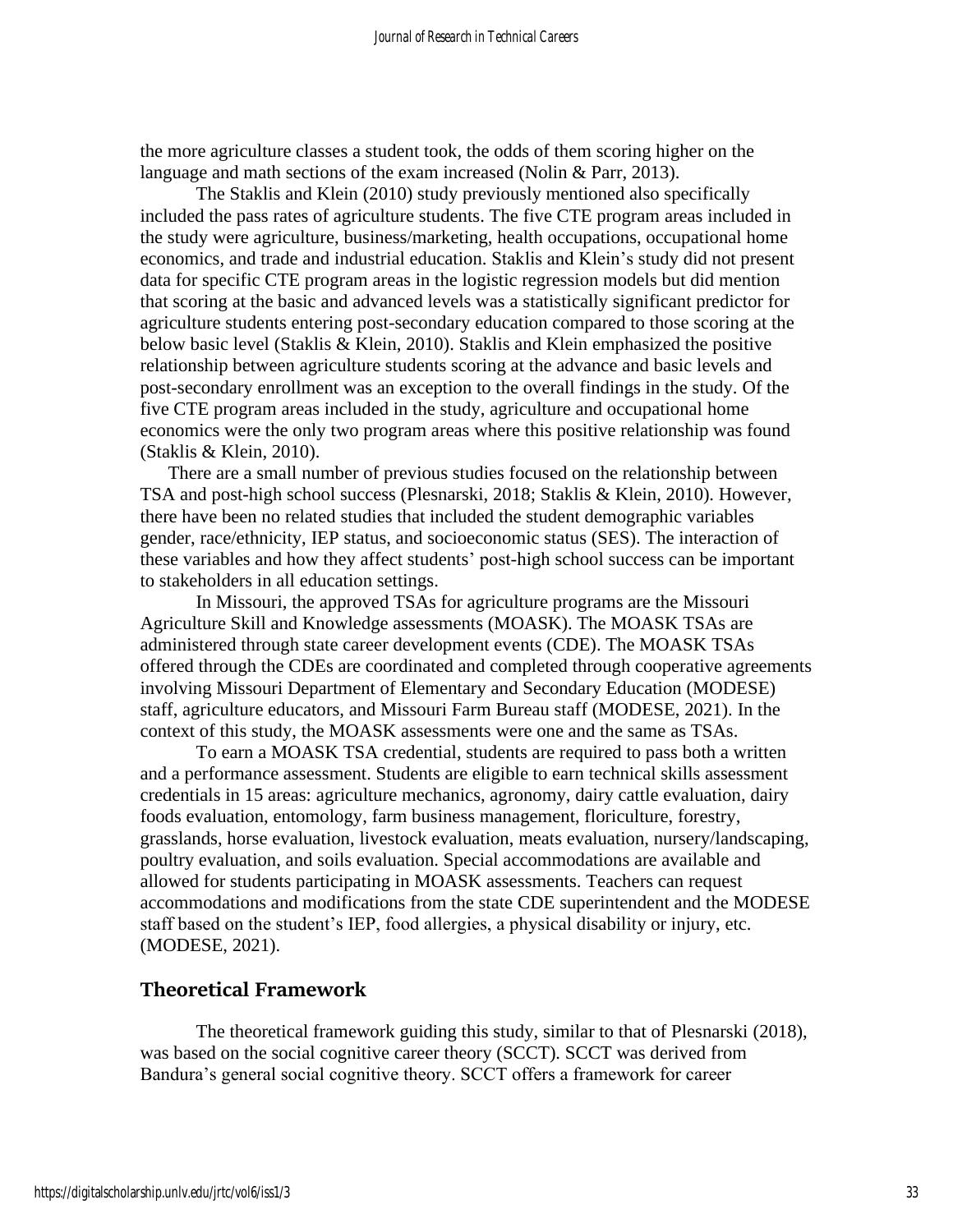the more agriculture classes a student took, the odds of them scoring higher on the language and math sections of the exam increased (Nolin & Parr, 2013).

The Staklis and Klein (2010) study previously mentioned also specifically included the pass rates of agriculture students. The five CTE program areas included in the study were agriculture, business/marketing, health occupations, occupational home economics, and trade and industrial education. Staklis and Klein's study did not present data for specific CTE program areas in the logistic regression models but did mention that scoring at the basic and advanced levels was a statistically significant predictor for agriculture students entering post-secondary education compared to those scoring at the below basic level (Staklis & Klein, 2010). Staklis and Klein emphasized the positive relationship between agriculture students scoring at the advance and basic levels and post-secondary enrollment was an exception to the overall findings in the study. Of the five CTE program areas included in the study, agriculture and occupational home economics were the only two program areas where this positive relationship was found (Staklis & Klein, 2010).

There are a small number of previous studies focused on the relationship between TSA and post-high school success (Plesnarski, 2018; Staklis & Klein, 2010). However, there have been no related studies that included the student demographic variables gender, race/ethnicity, IEP status, and socioeconomic status (SES). The interaction of these variables and how they affect students' post-high school success can be important to stakeholders in all education settings.

In Missouri, the approved TSAs for agriculture programs are the Missouri Agriculture Skill and Knowledge assessments (MOASK). The MOASK TSAs are administered through state career development events (CDE). The MOASK TSAs offered through the CDEs are coordinated and completed through cooperative agreements involving Missouri Department of Elementary and Secondary Education (MODESE) staff, agriculture educators, and Missouri Farm Bureau staff (MODESE, 2021). In the context of this study, the MOASK assessments were one and the same as TSAs.

To earn a MOASK TSA credential, students are required to pass both a written and a performance assessment. Students are eligible to earn technical skills assessment credentials in 15 areas: agriculture mechanics, agronomy, dairy cattle evaluation, dairy foods evaluation, entomology, farm business management, floriculture, forestry, grasslands, horse evaluation, livestock evaluation, meats evaluation, nursery/landscaping, poultry evaluation, and soils evaluation. Special accommodations are available and allowed for students participating in MOASK assessments. Teachers can request accommodations and modifications from the state CDE superintendent and the MODESE staff based on the student's IEP, food allergies, a physical disability or injury, etc. (MODESE, 2021).

## **Theoretical Framework**

The theoretical framework guiding this study, similar to that of Plesnarski (2018), was based on the social cognitive career theory (SCCT). SCCT was derived from Bandura's general social cognitive theory. SCCT offers a framework for career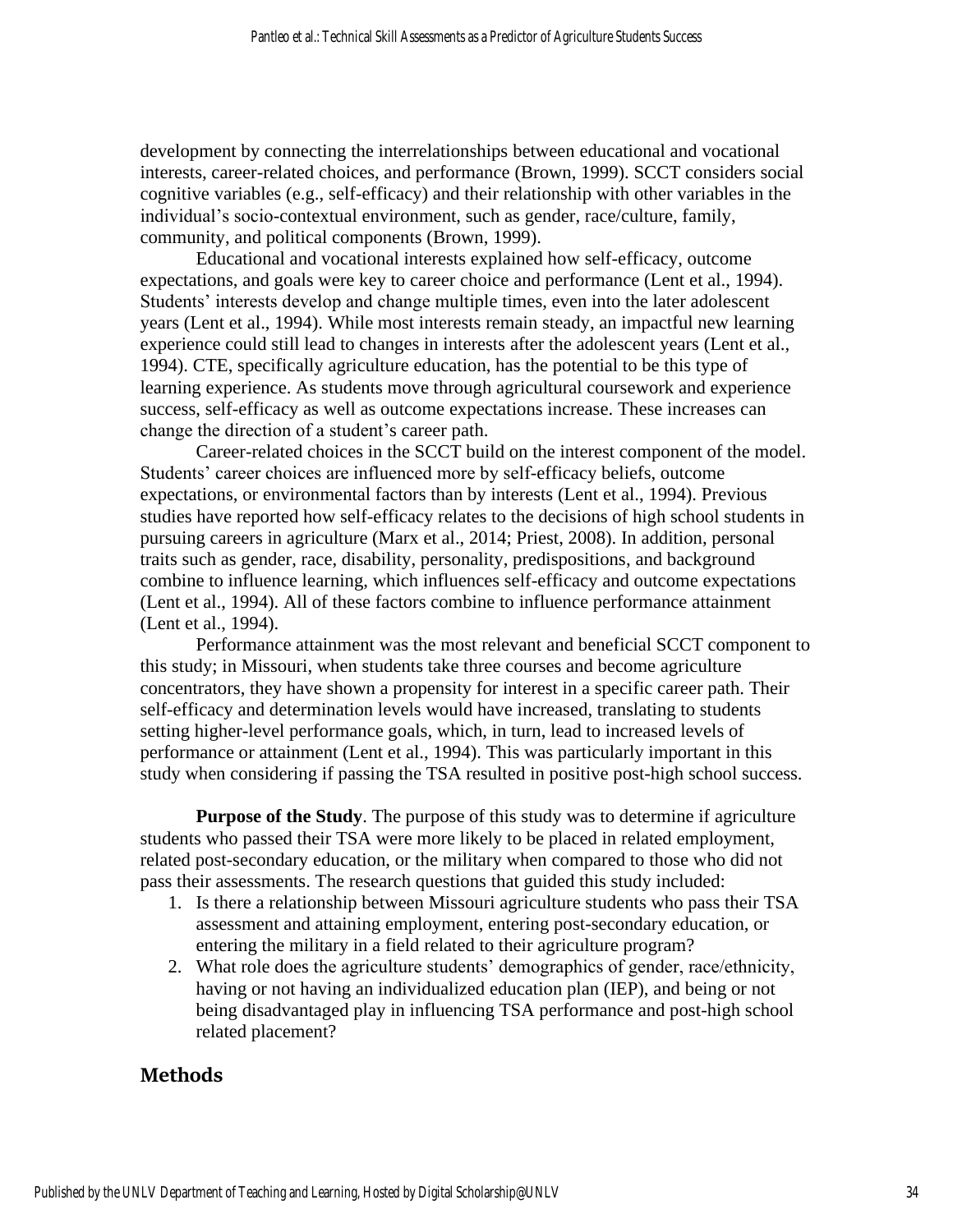development by connecting the interrelationships between educational and vocational interests, career-related choices, and performance (Brown, 1999). SCCT considers social cognitive variables (e.g., self-efficacy) and their relationship with other variables in the individual's socio-contextual environment, such as gender, race/culture, family, community, and political components (Brown, 1999).

Educational and vocational interests explained how self-efficacy, outcome expectations, and goals were key to career choice and performance (Lent et al., 1994). Students' interests develop and change multiple times, even into the later adolescent years (Lent et al., 1994). While most interests remain steady, an impactful new learning experience could still lead to changes in interests after the adolescent years (Lent et al., 1994). CTE, specifically agriculture education, has the potential to be this type of learning experience. As students move through agricultural coursework and experience success, self-efficacy as well as outcome expectations increase. These increases can change the direction of a student's career path.

Career-related choices in the SCCT build on the interest component of the model. Students' career choices are influenced more by self-efficacy beliefs, outcome expectations, or environmental factors than by interests (Lent et al., 1994). Previous studies have reported how self-efficacy relates to the decisions of high school students in pursuing careers in agriculture (Marx et al., 2014; Priest, 2008). In addition, personal traits such as gender, race, disability, personality, predispositions, and background combine to influence learning, which influences self-efficacy and outcome expectations (Lent et al., 1994). All of these factors combine to influence performance attainment (Lent et al., 1994).

Performance attainment was the most relevant and beneficial SCCT component to this study; in Missouri, when students take three courses and become agriculture concentrators, they have shown a propensity for interest in a specific career path. Their self-efficacy and determination levels would have increased, translating to students setting higher-level performance goals, which, in turn, lead to increased levels of performance or attainment (Lent et al., 1994). This was particularly important in this study when considering if passing the TSA resulted in positive post-high school success.

**Purpose of the Study**. The purpose of this study was to determine if agriculture students who passed their TSA were more likely to be placed in related employment, related post-secondary education, or the military when compared to those who did not pass their assessments. The research questions that guided this study included:

- 1. Is there a relationship between Missouri agriculture students who pass their TSA assessment and attaining employment, entering post-secondary education, or entering the military in a field related to their agriculture program?
- 2. What role does the agriculture students' demographics of gender, race/ethnicity, having or not having an individualized education plan (IEP), and being or not being disadvantaged play in influencing TSA performance and post-high school related placement?

# **Methods**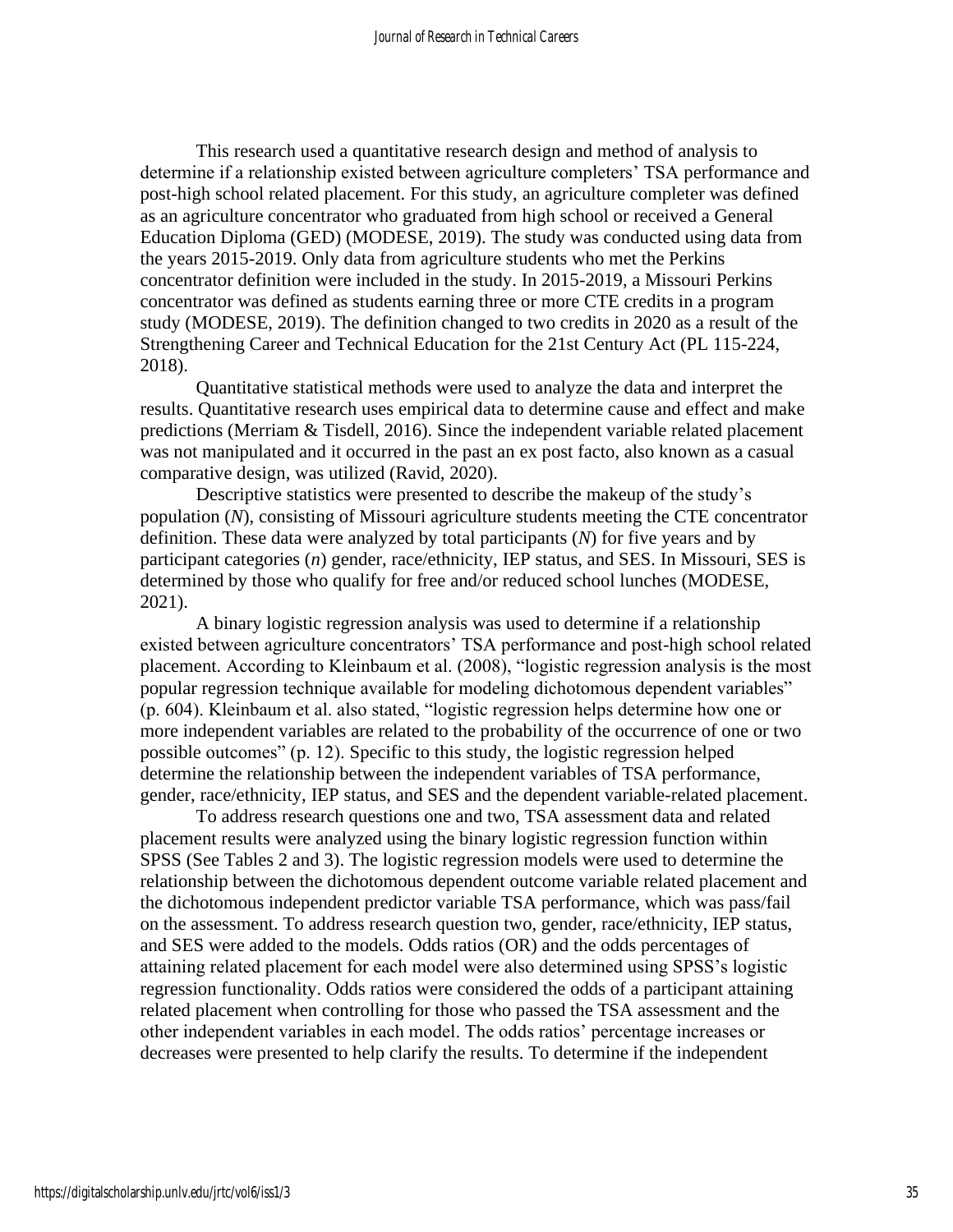This research used a quantitative research design and method of analysis to determine if a relationship existed between agriculture completers' TSA performance and post-high school related placement. For this study, an agriculture completer was defined as an agriculture concentrator who graduated from high school or received a General Education Diploma (GED) (MODESE, 2019). The study was conducted using data from the years 2015-2019. Only data from agriculture students who met the Perkins concentrator definition were included in the study. In 2015-2019, a Missouri Perkins concentrator was defined as students earning three or more CTE credits in a program study (MODESE, 2019). The definition changed to two credits in 2020 as a result of the Strengthening Career and Technical Education for the 21st Century Act (PL 115-224, 2018).

Quantitative statistical methods were used to analyze the data and interpret the results. Quantitative research uses empirical data to determine cause and effect and make predictions (Merriam & Tisdell, 2016). Since the independent variable related placement was not manipulated and it occurred in the past an ex post facto, also known as a casual comparative design, was utilized (Ravid, 2020).

Descriptive statistics were presented to describe the makeup of the study's population (*N*), consisting of Missouri agriculture students meeting the CTE concentrator definition. These data were analyzed by total participants (*N*) for five years and by participant categories (*n*) gender, race/ethnicity, IEP status, and SES. In Missouri, SES is determined by those who qualify for free and/or reduced school lunches (MODESE, 2021).

A binary logistic regression analysis was used to determine if a relationship existed between agriculture concentrators' TSA performance and post-high school related placement. According to Kleinbaum et al. (2008), "logistic regression analysis is the most popular regression technique available for modeling dichotomous dependent variables" (p. 604). Kleinbaum et al. also stated, "logistic regression helps determine how one or more independent variables are related to the probability of the occurrence of one or two possible outcomes" (p. 12). Specific to this study, the logistic regression helped determine the relationship between the independent variables of TSA performance, gender, race/ethnicity, IEP status, and SES and the dependent variable-related placement.

To address research questions one and two, TSA assessment data and related placement results were analyzed using the binary logistic regression function within SPSS (See Tables 2 and 3). The logistic regression models were used to determine the relationship between the dichotomous dependent outcome variable related placement and the dichotomous independent predictor variable TSA performance, which was pass/fail on the assessment. To address research question two, gender, race/ethnicity, IEP status, and SES were added to the models. Odds ratios (OR) and the odds percentages of attaining related placement for each model were also determined using SPSS's logistic regression functionality. Odds ratios were considered the odds of a participant attaining related placement when controlling for those who passed the TSA assessment and the other independent variables in each model. The odds ratios' percentage increases or decreases were presented to help clarify the results. To determine if the independent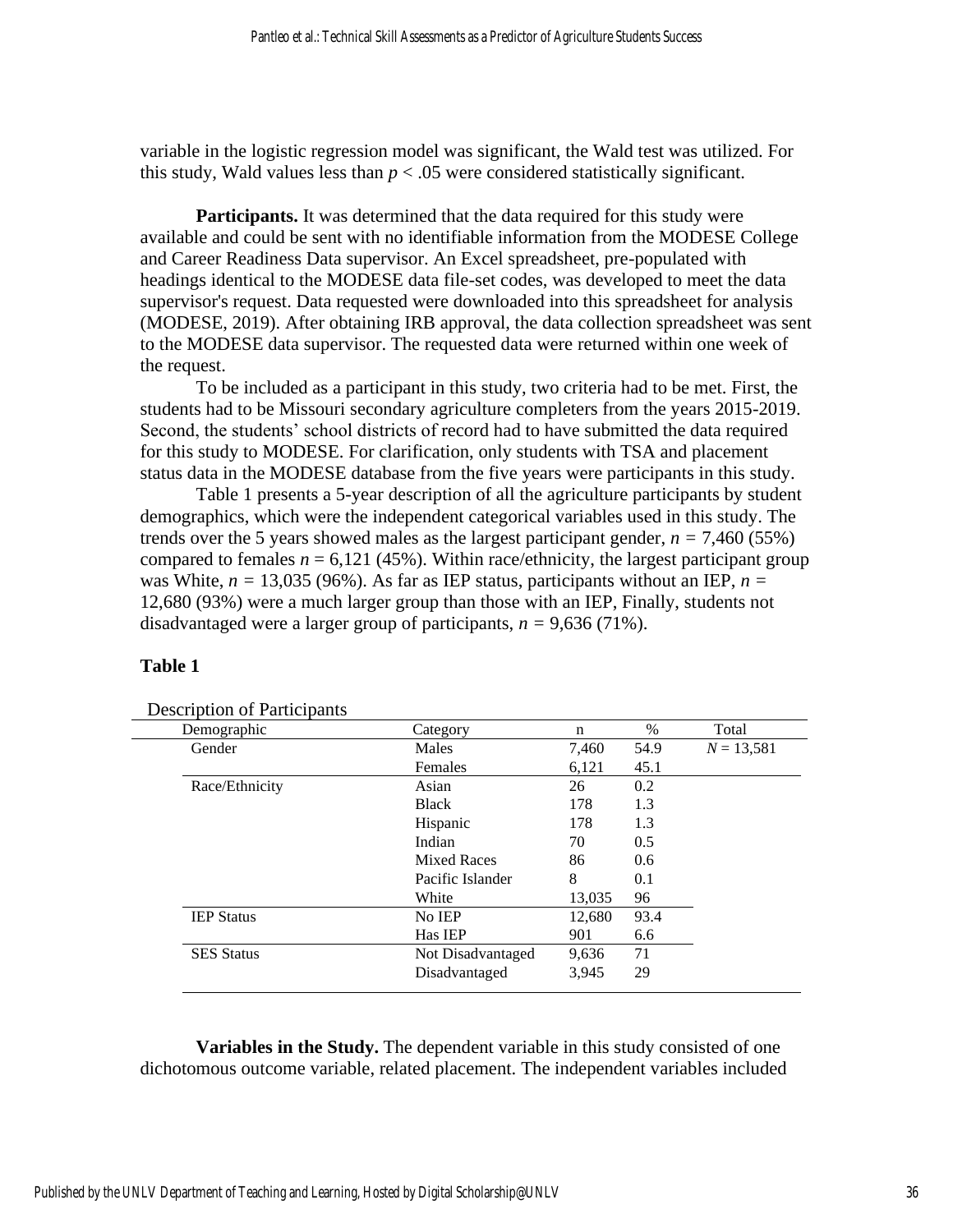variable in the logistic regression model was significant, the Wald test was utilized. For this study, Wald values less than  $p < .05$  were considered statistically significant.

**Participants.** It was determined that the data required for this study were available and could be sent with no identifiable information from the MODESE College and Career Readiness Data supervisor. An Excel spreadsheet, pre-populated with headings identical to the MODESE data file-set codes, was developed to meet the data supervisor's request. Data requested were downloaded into this spreadsheet for analysis (MODESE, 2019). After obtaining IRB approval, the data collection spreadsheet was sent to the MODESE data supervisor. The requested data were returned within one week of the request.

To be included as a participant in this study, two criteria had to be met. First, the students had to be Missouri secondary agriculture completers from the years 2015-2019. Second, the students' school districts of record had to have submitted the data required for this study to MODESE. For clarification, only students with TSA and placement status data in the MODESE database from the five years were participants in this study.

Table 1 presents a 5-year description of all the agriculture participants by student demographics, which were the independent categorical variables used in this study. The trends over the 5 years showed males as the largest participant gender,  $n = 7,460$  (55%) compared to females  $n = 6,121$  (45%). Within race/ethnicity, the largest participant group was White,  $n = 13,035$  (96%). As far as IEP status, participants without an IEP,  $n =$ 12,680 (93%) were a much larger group than those with an IEP, Finally, students not disadvantaged were a larger group of participants,  $n = 9,636$  (71%).

## **Table 1**

| Demographic       | n                  | $\%$   | Total |              |
|-------------------|--------------------|--------|-------|--------------|
| Gender            | Males              |        | 54.9  | $N = 13,581$ |
|                   | Females            | 6,121  | 45.1  |              |
| Race/Ethnicity    | Asian              | 26     | 0.2   |              |
|                   | <b>Black</b>       | 178    | 1.3   |              |
|                   | Hispanic           | 178    | 1.3   |              |
|                   | Indian             | 70     | 0.5   |              |
|                   | <b>Mixed Races</b> | 86     | 0.6   |              |
|                   | Pacific Islander   | 8      | 0.1   |              |
|                   | White              | 13,035 | 96    |              |
| <b>IEP Status</b> | No IEP             | 12,680 | 93.4  |              |
|                   | Has IEP            | 901    | 6.6   |              |
| <b>SES</b> Status | Not Disadvantaged  | 9,636  | 71    |              |
|                   | Disadvantaged      | 3,945  | 29    |              |

Description of Participants

**Variables in the Study.** The dependent variable in this study consisted of one dichotomous outcome variable, related placement. The independent variables included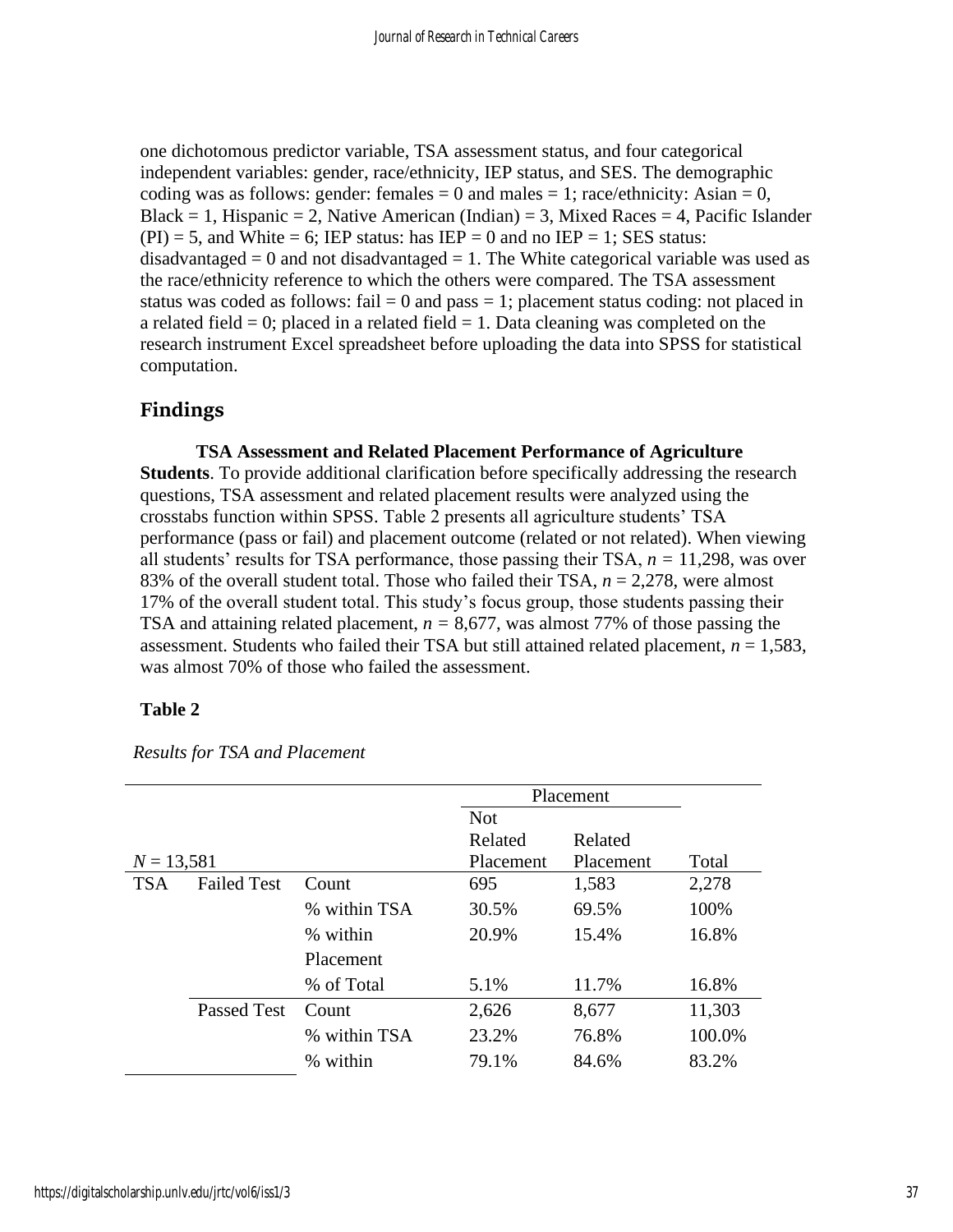one dichotomous predictor variable, TSA assessment status, and four categorical independent variables: gender, race/ethnicity, IEP status, and SES. The demographic coding was as follows: gender: females  $= 0$  and males  $= 1$ ; race/ethnicity: Asian  $= 0$ , Black = 1, Hispanic = 2, Native American (Indian) = 3, Mixed Races = 4, Pacific Islander  $(PI) = 5$ , and White = 6; IEP status: has IEP = 0 and no IEP = 1; SES status: disadvantaged  $= 0$  and not disadvantaged  $= 1$ . The White categorical variable was used as the race/ethnicity reference to which the others were compared. The TSA assessment status was coded as follows: fail  $= 0$  and pass  $= 1$ ; placement status coding: not placed in a related field  $= 0$ ; placed in a related field  $= 1$ . Data cleaning was completed on the research instrument Excel spreadsheet before uploading the data into SPSS for statistical computation.

# **Findings**

**TSA Assessment and Related Placement Performance of Agriculture Students**. To provide additional clarification before specifically addressing the research questions, TSA assessment and related placement results were analyzed using the crosstabs function within SPSS. Table 2 presents all agriculture students' TSA performance (pass or fail) and placement outcome (related or not related). When viewing all students' results for TSA performance, those passing their TSA, *n =* 11,298, was over 83% of the overall student total. Those who failed their TSA, *n* = 2,278, were almost 17% of the overall student total. This study's focus group, those students passing their TSA and attaining related placement,  $n = 8,677$ , was almost 77% of those passing the assessment. Students who failed their TSA but still attained related placement, *n* = 1,583, was almost 70% of those who failed the assessment.

## **Table 2**

|              |                    |              | Placement              |         |        |
|--------------|--------------------|--------------|------------------------|---------|--------|
|              |                    |              | <b>Not</b>             |         |        |
|              |                    |              | Related                | Related |        |
| $N = 13,581$ |                    |              | Placement<br>Placement |         | Total  |
| <b>TSA</b>   | <b>Failed Test</b> | Count        | 695                    | 1,583   | 2,278  |
|              |                    | % within TSA | 30.5%                  | 69.5%   | 100%   |
|              |                    | % within     | 20.9%                  | 15.4%   | 16.8%  |
|              |                    | Placement    |                        |         |        |
|              |                    | % of Total   | 5.1%                   | 11.7%   | 16.8%  |
|              | <b>Passed Test</b> | Count        | 2,626                  | 8,677   | 11,303 |
|              |                    | % within TSA | 23.2%                  | 76.8%   | 100.0% |
|              |                    | % within     | 79.1%                  | 84.6%   | 83.2%  |

*Results for TSA and Placement*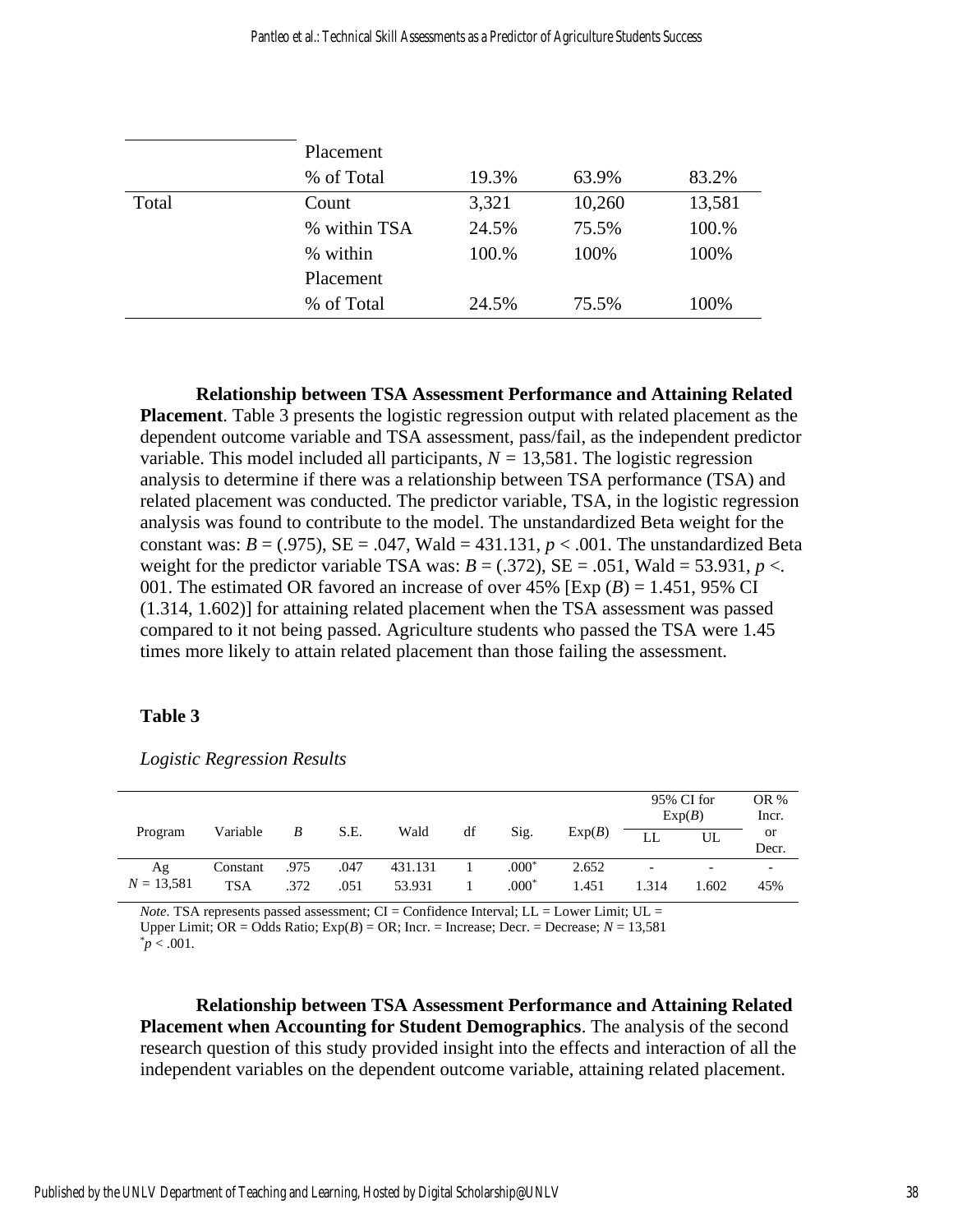|       | Placement    |       |        |        |  |  |  |  |
|-------|--------------|-------|--------|--------|--|--|--|--|
|       | % of Total   | 19.3% | 63.9%  | 83.2%  |  |  |  |  |
| Total | Count        | 3,321 | 10,260 | 13,581 |  |  |  |  |
|       | % within TSA | 24.5% | 75.5%  | 100.%  |  |  |  |  |
|       | % within     | 100.% | 100%   | 100%   |  |  |  |  |
|       | Placement    |       |        |        |  |  |  |  |
|       | % of Total   | 24.5% | 75.5%  | 100%   |  |  |  |  |

**Relationship between TSA Assessment Performance and Attaining Related Placement**. Table 3 presents the logistic regression output with related placement as the dependent outcome variable and TSA assessment, pass/fail, as the independent predictor variable. This model included all participants,  $N = 13,581$ . The logistic regression analysis to determine if there was a relationship between TSA performance (TSA) and related placement was conducted. The predictor variable, TSA, in the logistic regression analysis was found to contribute to the model. The unstandardized Beta weight for the constant was:  $B = (.975)$ ,  $SE = .047$ , Wald = 431.131,  $p < .001$ . The unstandardized Beta weight for the predictor variable TSA was:  $B = (.372)$ ,  $SE = .051$ , Wald = 53.931,  $p <$ . 001. The estimated OR favored an increase of over  $45\%$  [Exp  $(B) = 1.451$ , 95% CI (1.314, 1.602)] for attaining related placement when the TSA assessment was passed compared to it not being passed. Agriculture students who passed the TSA were 1.45 times more likely to attain related placement than those failing the assessment.

## **Table 3**

|              |            |                |      |         |    |         |        | 95% CI for<br>Exp(B)     |       | OR %<br>Incr. |
|--------------|------------|----------------|------|---------|----|---------|--------|--------------------------|-------|---------------|
| Program      | Variable   | $\overline{B}$ | S.E. | Wald    | df | Sig.    | Exp(B) | $\mathbf{H}$             | UL    | or<br>Decr.   |
| Αg           | Constant   | .975           | .047 | 431.131 |    | $.000*$ | 2.652  | $\overline{\phantom{a}}$ |       |               |
| $N = 13,581$ | <b>TSA</b> | .372           | .051 | 53.931  |    | $.000*$ | 1.451  | 1.314                    | 1.602 | 45%           |

*Logistic Regression Results* 

*Note.* TSA represents passed assessment;  $CI =$  Confidence Interval;  $LL =$  Lower Limit;  $UL =$ Upper Limit;  $OR = Odds$  Ratio;  $Exp(B) = OR$ ; Incr. = Increase; Decr. = Decrease;  $N = 13,581$  $p < .001$ .

**Relationship between TSA Assessment Performance and Attaining Related Placement when Accounting for Student Demographics**. The analysis of the second research question of this study provided insight into the effects and interaction of all the independent variables on the dependent outcome variable, attaining related placement.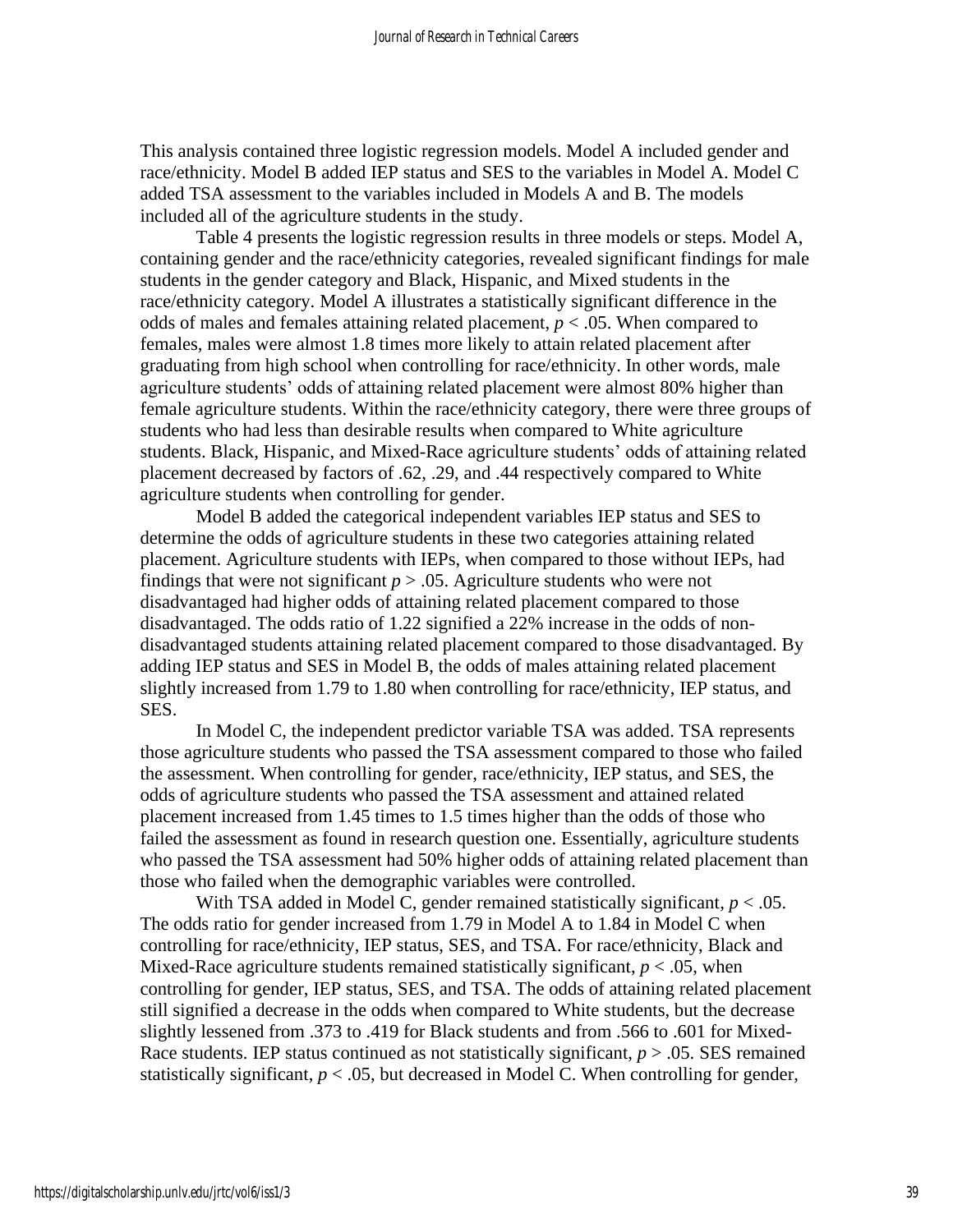This analysis contained three logistic regression models. Model A included gender and race/ethnicity. Model B added IEP status and SES to the variables in Model A. Model C added TSA assessment to the variables included in Models A and B. The models included all of the agriculture students in the study.

Table 4 presents the logistic regression results in three models or steps. Model A, containing gender and the race/ethnicity categories, revealed significant findings for male students in the gender category and Black, Hispanic, and Mixed students in the race/ethnicity category. Model A illustrates a statistically significant difference in the odds of males and females attaining related placement,  $p < .05$ . When compared to females, males were almost 1.8 times more likely to attain related placement after graduating from high school when controlling for race/ethnicity. In other words, male agriculture students' odds of attaining related placement were almost 80% higher than female agriculture students. Within the race/ethnicity category, there were three groups of students who had less than desirable results when compared to White agriculture students. Black, Hispanic, and Mixed-Race agriculture students' odds of attaining related placement decreased by factors of .62, .29, and .44 respectively compared to White agriculture students when controlling for gender.

Model B added the categorical independent variables IEP status and SES to determine the odds of agriculture students in these two categories attaining related placement. Agriculture students with IEPs, when compared to those without IEPs, had findings that were not significant  $p > 0.05$ . Agriculture students who were not disadvantaged had higher odds of attaining related placement compared to those disadvantaged. The odds ratio of 1.22 signified a 22% increase in the odds of nondisadvantaged students attaining related placement compared to those disadvantaged. By adding IEP status and SES in Model B, the odds of males attaining related placement slightly increased from 1.79 to 1.80 when controlling for race/ethnicity, IEP status, and SES.

In Model C, the independent predictor variable TSA was added. TSA represents those agriculture students who passed the TSA assessment compared to those who failed the assessment. When controlling for gender, race/ethnicity, IEP status, and SES, the odds of agriculture students who passed the TSA assessment and attained related placement increased from 1.45 times to 1.5 times higher than the odds of those who failed the assessment as found in research question one. Essentially, agriculture students who passed the TSA assessment had 50% higher odds of attaining related placement than those who failed when the demographic variables were controlled.

With TSA added in Model C, gender remained statistically significant,  $p < .05$ . The odds ratio for gender increased from 1.79 in Model A to 1.84 in Model C when controlling for race/ethnicity, IEP status, SES, and TSA. For race/ethnicity, Black and Mixed-Race agriculture students remained statistically significant,  $p < .05$ , when controlling for gender, IEP status, SES, and TSA. The odds of attaining related placement still signified a decrease in the odds when compared to White students, but the decrease slightly lessened from .373 to .419 for Black students and from .566 to .601 for Mixed-Race students. IEP status continued as not statistically significant,  $p > 0.05$ . SES remained statistically significant,  $p < .05$ , but decreased in Model C. When controlling for gender,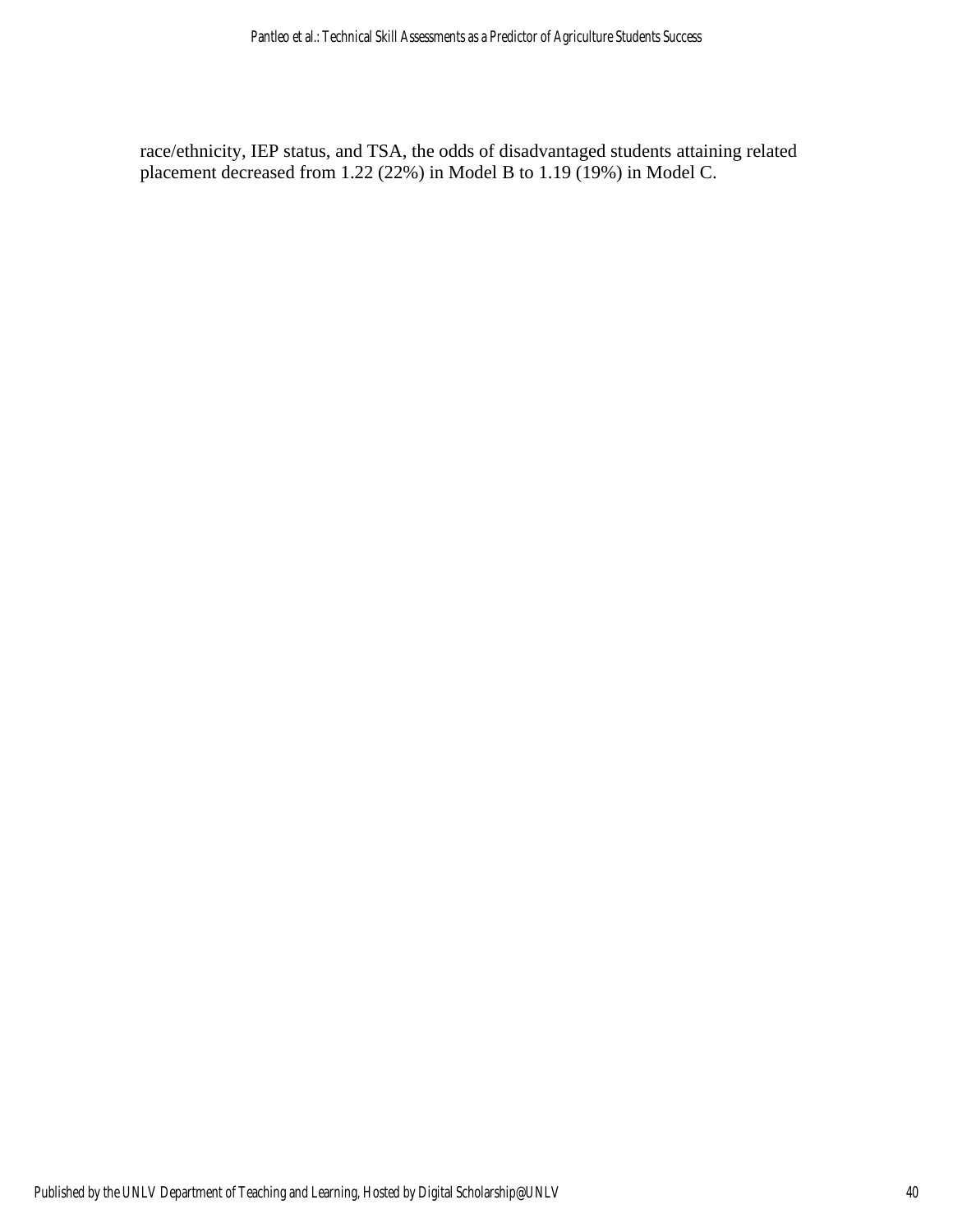race/ethnicity, IEP status, and TSA, the odds of disadvantaged students attaining related placement decreased from 1.22 (22%) in Model B to 1.19 (19%) in Model C.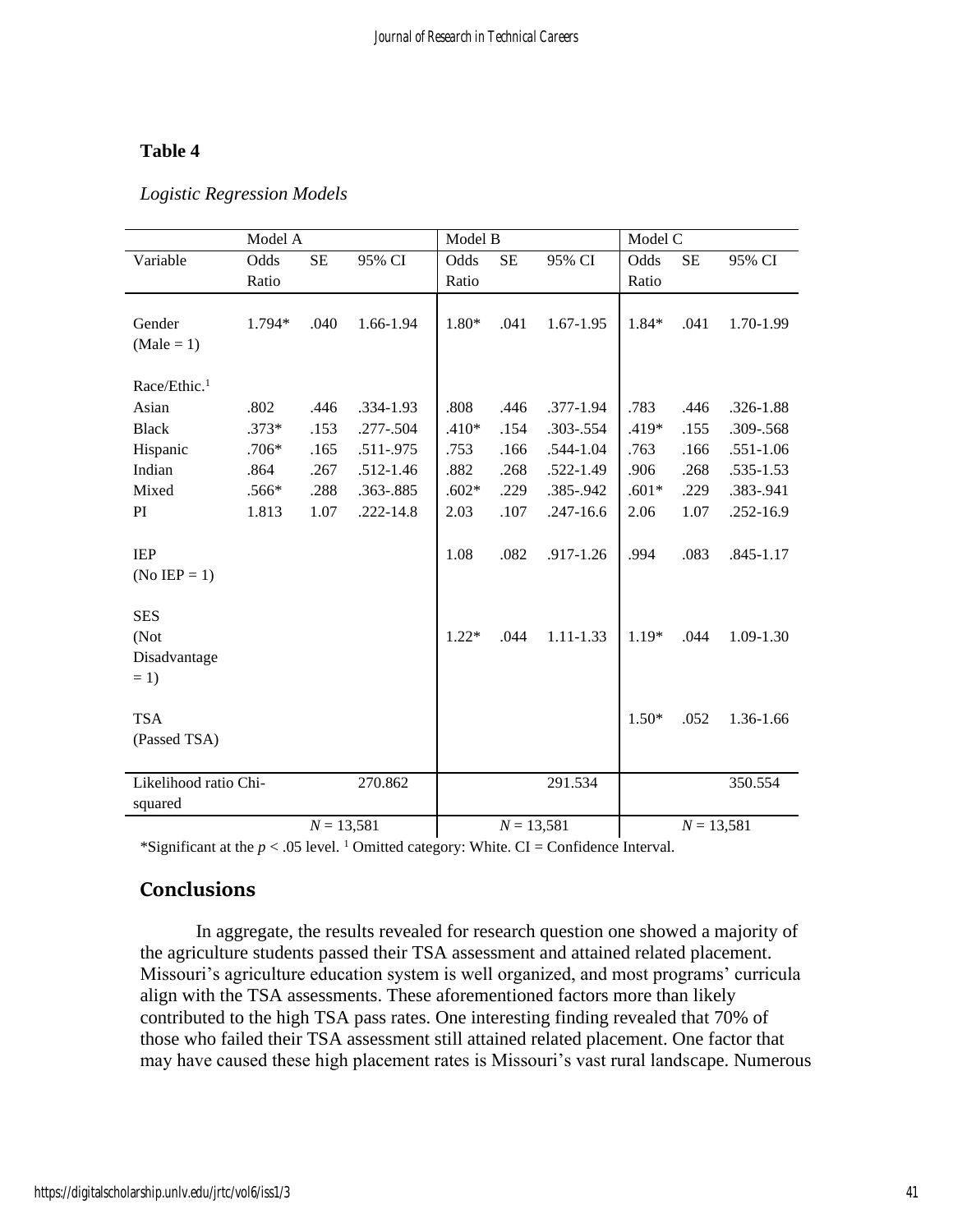## **Table 4**

|                                  | Model A |              |               | Model B |              |               | Model C |           |               |
|----------------------------------|---------|--------------|---------------|---------|--------------|---------------|---------|-----------|---------------|
| Variable                         | Odds    | <b>SE</b>    | 95% CI        | Odds    | <b>SE</b>    | 95% CI        | Odds    | <b>SE</b> | 95% CI        |
|                                  | Ratio   |              |               | Ratio   |              |               | Ratio   |           |               |
|                                  |         |              |               |         |              |               |         |           |               |
| Gender                           | 1.794*  | .040         | 1.66-1.94     | 1.80*   | .041         | $1.67 - 1.95$ | 1.84*   | .041      | 1.70-1.99     |
| $(Male = 1)$                     |         |              |               |         |              |               |         |           |               |
|                                  |         |              |               |         |              |               |         |           |               |
| Race/Ethic. <sup>1</sup>         |         |              |               |         |              |               |         |           |               |
| Asian                            | .802    | .446         | .334-1.93     | .808    | .446         | .377-1.94     | .783    | .446      | .326-1.88     |
| <b>Black</b>                     | $.373*$ | .153         | $.277 - .504$ | $.410*$ | .154         | .303-.554     | .419*   | .155      | .309-.568     |
| Hispanic                         | $.706*$ | .165         | $.511-.975$   | .753    | .166         | .544-1.04     | .763    | .166      | $.551 - 1.06$ |
| Indian                           | .864    | .267         | $.512 - 1.46$ | .882    | .268         | .522-1.49     | .906    | .268      | .535-1.53     |
| Mixed                            | .566*   | .288         | .363-.885     | $.602*$ | .229         | .385-.942     | $.601*$ | .229      | .383-.941     |
| PI                               | 1.813   | 1.07         | $.222 - 14.8$ | 2.03    | .107         | $.247 - 16.6$ | 2.06    | 1.07      | .252-16.9     |
|                                  |         |              |               |         |              |               |         |           |               |
| <b>IEP</b>                       |         |              |               | 1.08    | .082         | .917-1.26     | .994    | .083      | .845-1.17     |
| (No IEP = 1)                     |         |              |               |         |              |               |         |           |               |
|                                  |         |              |               |         |              |               |         |           |               |
| <b>SES</b>                       |         |              |               |         |              |               |         |           |               |
| (Not                             |         |              |               | $1.22*$ | .044         | 1.11-1.33     | $1.19*$ | .044      | 1.09-1.30     |
| Disadvantage                     |         |              |               |         |              |               |         |           |               |
| $= 1$                            |         |              |               |         |              |               |         |           |               |
|                                  |         |              |               |         |              |               |         |           |               |
| <b>TSA</b>                       |         |              |               |         |              |               | $1.50*$ | .052      | 1.36-1.66     |
| (Passed TSA)                     |         |              |               |         |              |               |         |           |               |
|                                  |         |              |               |         |              |               |         |           |               |
| Likelihood ratio Chi-<br>270.862 |         |              |               | 291.534 |              |               | 350.554 |           |               |
| squared                          |         |              |               |         |              |               |         |           |               |
| $N = 13,581$                     |         | $N = 13,581$ |               |         | $N = 13,581$ |               |         |           |               |

*Logistic Regression Models*

\*Significant at the  $p < .05$  level. <sup>1</sup> Omitted category: White. CI = Confidence Interval.

# **Conclusions**

In aggregate, the results revealed for research question one showed a majority of the agriculture students passed their TSA assessment and attained related placement. Missouri's agriculture education system is well organized, and most programs' curricula align with the TSA assessments. These aforementioned factors more than likely contributed to the high TSA pass rates. One interesting finding revealed that 70% of those who failed their TSA assessment still attained related placement. One factor that may have caused these high placement rates is Missouri's vast rural landscape. Numerous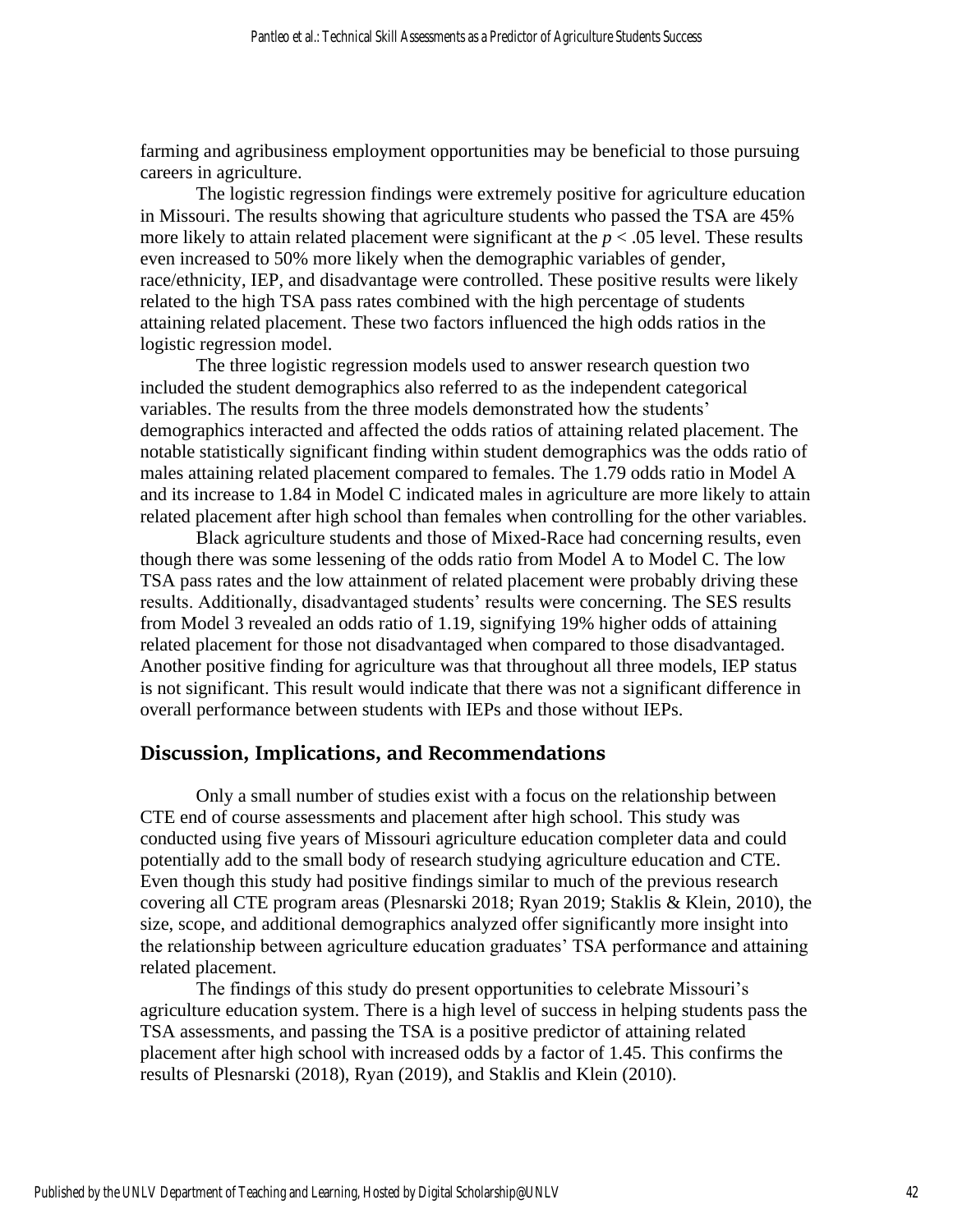farming and agribusiness employment opportunities may be beneficial to those pursuing careers in agriculture.

The logistic regression findings were extremely positive for agriculture education in Missouri. The results showing that agriculture students who passed the TSA are 45% more likely to attain related placement were significant at the  $p < .05$  level. These results even increased to 50% more likely when the demographic variables of gender, race/ethnicity, IEP, and disadvantage were controlled. These positive results were likely related to the high TSA pass rates combined with the high percentage of students attaining related placement. These two factors influenced the high odds ratios in the logistic regression model.

The three logistic regression models used to answer research question two included the student demographics also referred to as the independent categorical variables. The results from the three models demonstrated how the students' demographics interacted and affected the odds ratios of attaining related placement. The notable statistically significant finding within student demographics was the odds ratio of males attaining related placement compared to females. The 1.79 odds ratio in Model A and its increase to 1.84 in Model C indicated males in agriculture are more likely to attain related placement after high school than females when controlling for the other variables.

Black agriculture students and those of Mixed-Race had concerning results, even though there was some lessening of the odds ratio from Model A to Model C. The low TSA pass rates and the low attainment of related placement were probably driving these results. Additionally, disadvantaged students' results were concerning. The SES results from Model 3 revealed an odds ratio of 1.19, signifying 19% higher odds of attaining related placement for those not disadvantaged when compared to those disadvantaged. Another positive finding for agriculture was that throughout all three models, IEP status is not significant. This result would indicate that there was not a significant difference in overall performance between students with IEPs and those without IEPs.

#### **Discussion, Implications, and Recommendations**

Only a small number of studies exist with a focus on the relationship between CTE end of course assessments and placement after high school. This study was conducted using five years of Missouri agriculture education completer data and could potentially add to the small body of research studying agriculture education and CTE. Even though this study had positive findings similar to much of the previous research covering all CTE program areas (Plesnarski 2018; Ryan 2019; Staklis & Klein, 2010), the size, scope, and additional demographics analyzed offer significantly more insight into the relationship between agriculture education graduates' TSA performance and attaining related placement.

The findings of this study do present opportunities to celebrate Missouri's agriculture education system. There is a high level of success in helping students pass the TSA assessments, and passing the TSA is a positive predictor of attaining related placement after high school with increased odds by a factor of 1.45. This confirms the results of Plesnarski (2018), Ryan (2019), and Staklis and Klein (2010).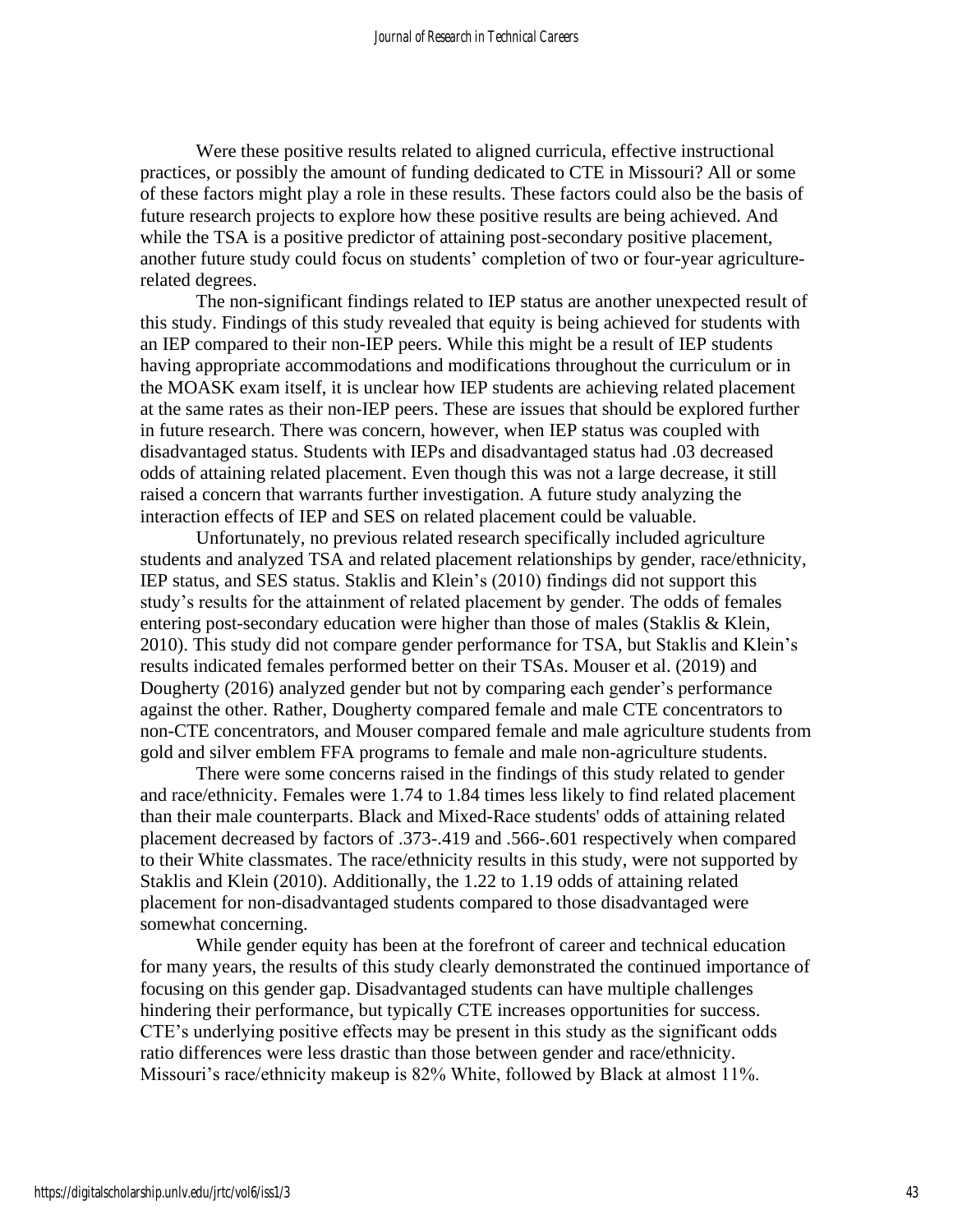Were these positive results related to aligned curricula, effective instructional practices, or possibly the amount of funding dedicated to CTE in Missouri? All or some of these factors might play a role in these results. These factors could also be the basis of future research projects to explore how these positive results are being achieved. And while the TSA is a positive predictor of attaining post-secondary positive placement, another future study could focus on students' completion of two or four-year agriculturerelated degrees.

The non-significant findings related to IEP status are another unexpected result of this study. Findings of this study revealed that equity is being achieved for students with an IEP compared to their non-IEP peers. While this might be a result of IEP students having appropriate accommodations and modifications throughout the curriculum or in the MOASK exam itself, it is unclear how IEP students are achieving related placement at the same rates as their non-IEP peers. These are issues that should be explored further in future research. There was concern, however, when IEP status was coupled with disadvantaged status. Students with IEPs and disadvantaged status had .03 decreased odds of attaining related placement. Even though this was not a large decrease, it still raised a concern that warrants further investigation. A future study analyzing the interaction effects of IEP and SES on related placement could be valuable.

Unfortunately, no previous related research specifically included agriculture students and analyzed TSA and related placement relationships by gender, race/ethnicity, IEP status, and SES status. Staklis and Klein's (2010) findings did not support this study's results for the attainment of related placement by gender. The odds of females entering post-secondary education were higher than those of males (Staklis  $&$  Klein, 2010). This study did not compare gender performance for TSA, but Staklis and Klein's results indicated females performed better on their TSAs. Mouser et al. (2019) and Dougherty (2016) analyzed gender but not by comparing each gender's performance against the other. Rather, Dougherty compared female and male CTE concentrators to non-CTE concentrators, and Mouser compared female and male agriculture students from gold and silver emblem FFA programs to female and male non-agriculture students.

There were some concerns raised in the findings of this study related to gender and race/ethnicity. Females were 1.74 to 1.84 times less likely to find related placement than their male counterparts. Black and Mixed-Race students' odds of attaining related placement decreased by factors of .373-.419 and .566-.601 respectively when compared to their White classmates. The race/ethnicity results in this study, were not supported by Staklis and Klein (2010). Additionally, the 1.22 to 1.19 odds of attaining related placement for non-disadvantaged students compared to those disadvantaged were somewhat concerning.

While gender equity has been at the forefront of career and technical education for many years, the results of this study clearly demonstrated the continued importance of focusing on this gender gap. Disadvantaged students can have multiple challenges hindering their performance, but typically CTE increases opportunities for success. CTE's underlying positive effects may be present in this study as the significant odds ratio differences were less drastic than those between gender and race/ethnicity. Missouri's race/ethnicity makeup is 82% White, followed by Black at almost 11%.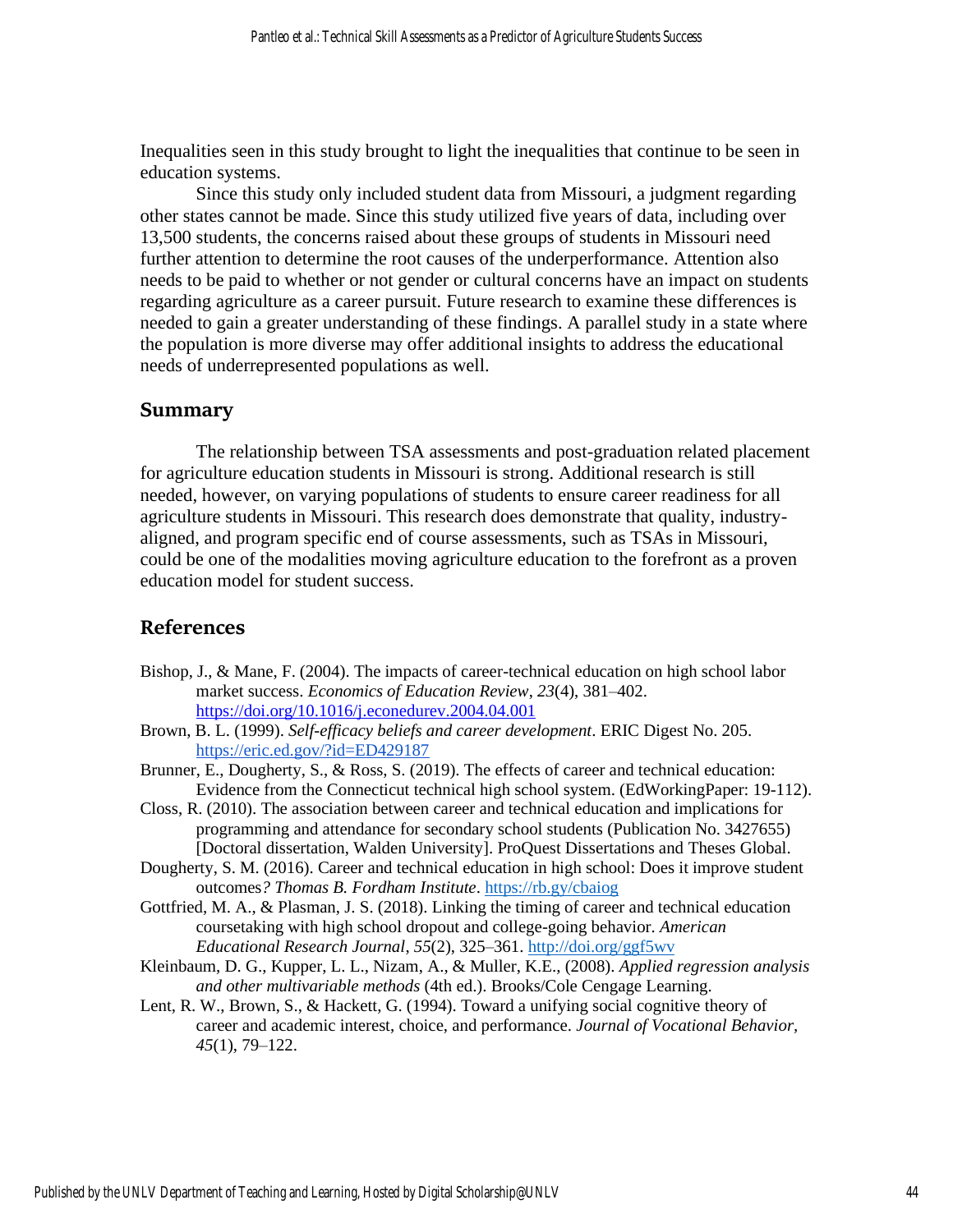Inequalities seen in this study brought to light the inequalities that continue to be seen in education systems.

Since this study only included student data from Missouri, a judgment regarding other states cannot be made. Since this study utilized five years of data, including over 13,500 students, the concerns raised about these groups of students in Missouri need further attention to determine the root causes of the underperformance. Attention also needs to be paid to whether or not gender or cultural concerns have an impact on students regarding agriculture as a career pursuit. Future research to examine these differences is needed to gain a greater understanding of these findings. A parallel study in a state where the population is more diverse may offer additional insights to address the educational needs of underrepresented populations as well.

## **Summary**

The relationship between TSA assessments and post-graduation related placement for agriculture education students in Missouri is strong. Additional research is still needed, however, on varying populations of students to ensure career readiness for all agriculture students in Missouri. This research does demonstrate that quality, industryaligned, and program specific end of course assessments, such as TSAs in Missouri, could be one of the modalities moving agriculture education to the forefront as a proven education model for student success.

## **References**

- Bishop, J., & Mane, F. (2004). The impacts of career-technical education on high school labor market success. *Economics of Education Review*, *23*(4), 381–402. <https://doi.org/10.1016/j.econedurev.2004.04.001>
- Brown, B. L. (1999). *Self-efficacy beliefs and career development*. ERIC Digest No. 205. <https://eric.ed.gov/?id=ED429187>
- Brunner, E., Dougherty, S., & Ross, S. (2019). The effects of career and technical education: Evidence from the Connecticut technical high school system. (EdWorkingPaper: 19-112).
- Closs, R. (2010). The association between career and technical education and implications for programming and attendance for secondary school students (Publication No. 3427655) [Doctoral dissertation, Walden University]. ProQuest Dissertations and Theses Global.
- Dougherty, S. M. (2016). Career and technical education in high school: Does it improve student outcomes*? Thomas B. Fordham Institute*. [https://rb.gy/cbaiog](https://fordhaminstitute.org/sites/default/files/publication/pdfs/%282016.04.07%29%20Career%20and%20Technical%20Education%20in%20High%20School.pdf)
- Gottfried, M. A., & Plasman, J. S. (2018). Linking the timing of career and technical education coursetaking with high school dropout and college-going behavior. *American Educational Research Journal*, *55*(2), 325–361. <http://doi.org/ggf5wv>
- Kleinbaum, D. G., Kupper, L. L., Nizam, A., & Muller, K.E., (2008). *Applied regression analysis and other multivariable methods* (4th ed.). Brooks/Cole Cengage Learning.
- Lent, R. W., Brown, S., & Hackett, G. (1994). Toward a unifying social cognitive theory of career and academic interest, choice, and performance. *Journal of Vocational Behavior, 45*(1), 79–122.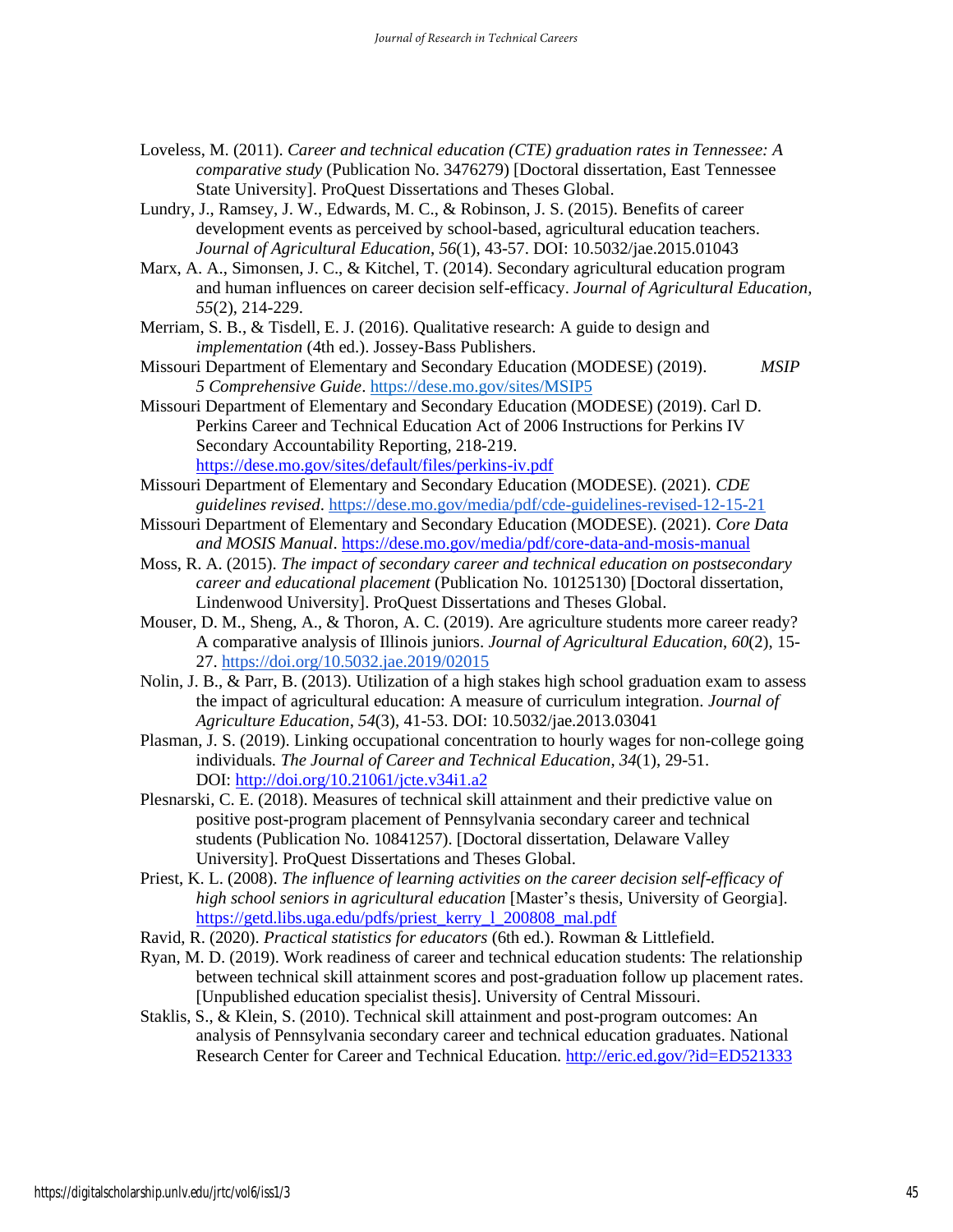- Loveless, M. (2011). *Career and technical education (CTE) graduation rates in Tennessee: A comparative study* (Publication No. 3476279) [Doctoral dissertation, East Tennessee State University]. ProQuest Dissertations and Theses Global.
- Lundry, J., Ramsey, J. W., Edwards, M. C., & Robinson, J. S. (2015). Benefits of career development events as perceived by school-based, agricultural education teachers. *Journal of Agricultural Education*, *56*(1), 43-57. DOI: 10.5032/jae.2015.01043
- Marx, A. A., Simonsen, J. C., & Kitchel, T. (2014). Secondary agricultural education program and human influences on career decision self-efficacy. *Journal of Agricultural Education, 55*(2), 214-229.
- Merriam, S. B., & Tisdell, E. J. (2016). Qualitative research: A guide to design and *implementation* (4th ed.). Jossey-Bass Publishers.
- Missouri Department of Elementary and Secondary Education (MODESE) (2019). *MSIP 5 Comprehensive Guide*. [https://dese.mo.gov/sites/MSIP5](https://dese.mo.gov/sites/default/files/MSIP5_2019_Comprehensive_Guide%2011-15-2019_1.pdf)
- Missouri Department of Elementary and Secondary Education (MODESE) (2019). Carl D. Perkins Career and Technical Education Act of 2006 Instructions for Perkins IV Secondary Accountability Reporting, 218-219. <https://dese.mo.gov/sites/default/files/perkins-iv.pdf>
- Missouri Department of Elementary and Secondary Education (MODESE). (2021). *CDE guidelines revised*.<https://dese.mo.gov/media/pdf/cde-guidelines-revised-12-15-21>
- Missouri Department of Elementary and Secondary Education (MODESE). (2021). *Core Data and MOSIS Manual*.<https://dese.mo.gov/media/pdf/core-data-and-mosis-manual>
- Moss, R. A. (2015). *The impact of secondary career and technical education on postsecondary career and educational placement* (Publication No. 10125130) [Doctoral dissertation, Lindenwood University]. ProQuest Dissertations and Theses Global.
- Mouser, D. M., Sheng, A., & Thoron, A. C. (2019). Are agriculture students more career ready? A comparative analysis of Illinois juniors. *Journal of Agricultural Education*, *60*(2), 15- 27.<https://doi.org/10.5032.jae.2019/02015>
- Nolin, J. B., & Parr, B. (2013). Utilization of a high stakes high school graduation exam to assess the impact of agricultural education: A measure of curriculum integration. *Journal of Agriculture Education*, *54*(3), 41-53. DOI: 10.5032/jae.2013.03041
- Plasman, J. S. (2019). Linking occupational concentration to hourly wages for non-college going individuals*. The Journal of Career and Technical Education*, *34*(1), 29-51. DOI: <http://doi.org/10.21061/jcte.v34i1.a2>
- Plesnarski, C. E. (2018). Measures of technical skill attainment and their predictive value on positive post-program placement of Pennsylvania secondary career and technical students (Publication No. 10841257). [Doctoral dissertation, Delaware Valley University]. ProQuest Dissertations and Theses Global.
- Priest, K. L. (2008). *The influence of learning activities on the career decision self-efficacy of high school seniors in agricultural education* [Master's thesis, University of Georgia]. [https://getd.libs.uga.edu/pdfs/priest\\_kerry\\_l\\_200808\\_mal.pdf](https://getd.libs.uga.edu/pdfs/priest_kerry_l_200808_mal.pdf)
- Ravid, R. (2020). *Practical statistics for educators* (6th ed.). Rowman & Littlefield.
- Ryan, M. D. (2019). Work readiness of career and technical education students: The relationship between technical skill attainment scores and post-graduation follow up placement rates. [Unpublished education specialist thesis]. University of Central Missouri.
- Staklis, S., & Klein, S. (2010). Technical skill attainment and post-program outcomes: An analysis of Pennsylvania secondary career and technical education graduates. National Research Center for Career and Technical Education. <http://eric.ed.gov/?id=ED521333>